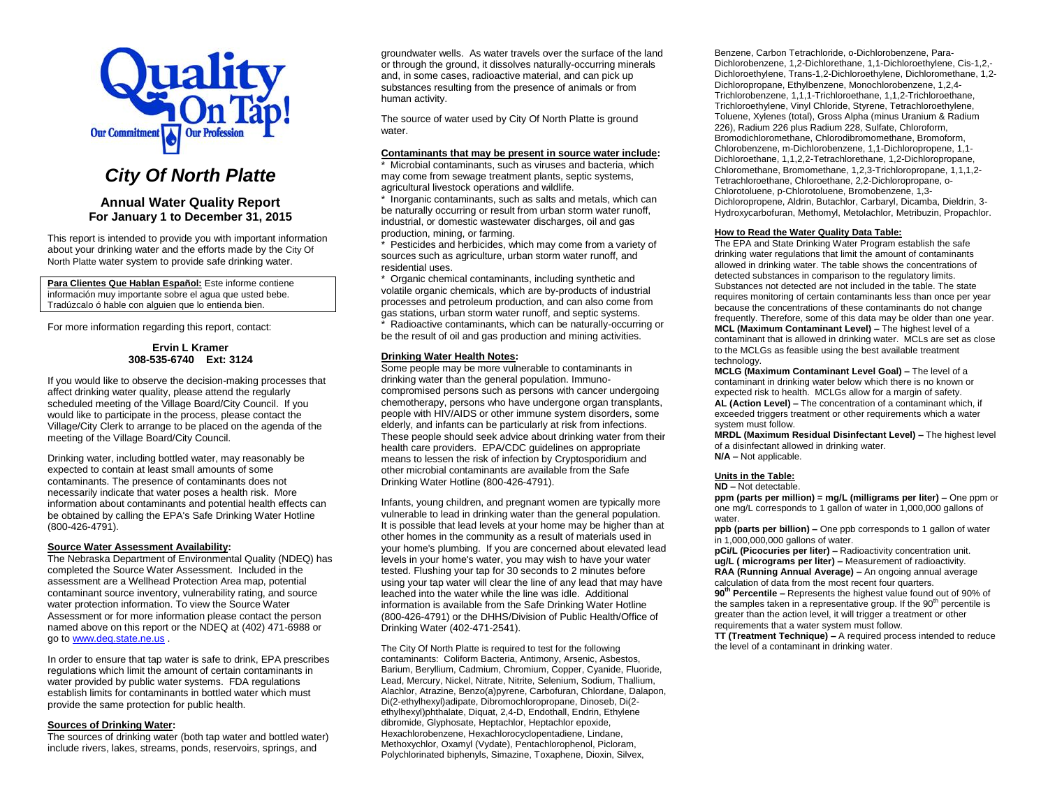

# *City Of North Platte*

## **Annual Water Quality Report For January 1 to December 31, 2015**

This report is intended to provide you with important information about your drinking water and the efforts made by the City Of North Platte water system to provide safe drinking water.

**Para Clientes Que Hablan Español:** Este informe contiene información muy importante sobre el agua que usted bebe. Tradúzcalo ó hable con alguien que lo entienda bien.

For more information regarding this report, contact:

## **Ervin L Kramer 308-535-6740 Ext: 3124**

If you would like to observe the decision-making processes that affect drinking water quality, please attend the regularly scheduled meeting of the Village Board/City Council. If you would like to participate in the process, please contact the Village/City Clerk to arrange to be placed on the agenda of the meeting of the Village Board/City Council.

Drinking water, including bottled water, may reasonably be expected to contain at least small amounts of some contaminants. The presence of contaminants does not necessarily indicate that water poses a health risk. More information about contaminants and potential health effects can be obtained by calling the EPA's Safe Drinking Water Hotline (800-426-4791).

## **Source Water Assessment Availability:**

The Nebraska Department of Environmental Quality (NDEQ) has completed the Source Water Assessment. Included in the assessment are a Wellhead Protection Area map, potential contaminant source inventory, vulnerability rating, and source water protection information. To view the Source Water Assessment or for more information please contact the person named above on this report or the NDEQ at (402) 471-6988 or go to [www.deq.state.ne.us](http://www.deq.state.ne.us/) .

In order to ensure that tap water is safe to drink, EPA prescribes regulations which limit the amount of certain contaminants in water provided by public water systems. FDA regulations establish limits for contaminants in bottled water which must provide the same protection for public health.

## **Sources of Drinking Water:**

The sources of drinking water (both tap water and bottled water) include rivers, lakes, streams, ponds, reservoirs, springs, and

groundwater wells. As water travels over the surface of the land or through the ground, it dissolves naturally-occurring minerals and, in some cases, radioactive material, and can pick up substances resulting from the presence of animals or from human activity.

The source of water used by City Of North Platte is ground water.

## **Contaminants that may be present in source water include:**

\* Microbial contaminants, such as viruses and bacteria, which may come from sewage treatment plants, septic systems, agricultural livestock operations and wildlife.

\* Inorganic contaminants, such as salts and metals, which can be naturally occurring or result from urban storm water runoff, industrial, or domestic wastewater discharges, oil and gas production, mining, or farming.

\* Pesticides and herbicides, which may come from a variety of sources such as agriculture, urban storm water runoff, and residential uses.

\* Organic chemical contaminants, including synthetic and volatile organic chemicals, which are by-products of industrial processes and petroleum production, and can also come from gas stations, urban storm water runoff, and septic systems.

\* Radioactive contaminants, which can be naturally-occurring or be the result of oil and gas production and mining activities.

## **Drinking Water Health Notes:**

Some people may be more vulnerable to contaminants in drinking water than the general population. Immunocompromised persons such as persons with cancer undergoing chemotherapy, persons who have undergone organ transplants, people with HIV/AIDS or other immune system disorders, some elderly, and infants can be particularly at risk from infections. These people should seek advice about drinking water from their health care providers. EPA/CDC guidelines on appropriate means to lessen the risk of infection by Cryptosporidium and other microbial contaminants are available from the Safe Drinking Water Hotline (800-426-4791).

Infants, young children, and pregnant women are typically more vulnerable to lead in drinking water than the general population. It is possible that lead levels at your home may be higher than at other homes in the community as a result of materials used in your home's plumbing. If you are concerned about elevated lead levels in your home's water, you may wish to have your water tested. Flushing your tap for 30 seconds to 2 minutes before using your tap water will clear the line of any lead that may have leached into the water while the line was idle. Additional information is available from the Safe Drinking Water Hotline (800-426-4791) or the DHHS/Division of Public Health/Office of Drinking Water (402-471-2541).

The City Of North Platte is required to test for the following contaminants: Coliform Bacteria, Antimony, Arsenic, Asbestos, Barium, Beryllium, Cadmium, Chromium, Copper, Cyanide, Fluoride, Lead, Mercury, Nickel, Nitrate, Nitrite, Selenium, Sodium, Thallium, Alachlor, Atrazine, Benzo(a)pyrene, Carbofuran, Chlordane, Dalapon, Di(2-ethylhexyl)adipate, Dibromochloropropane, Dinoseb, Di(2 ethylhexyl)phthalate, Diquat, 2,4-D, Endothall, Endrin, Ethylene dibromide, Glyphosate, Heptachlor, Heptachlor epoxide, Hexachlorobenzene, Hexachlorocyclopentadiene, Lindane, Methoxychlor, Oxamyl (Vydate), Pentachlorophenol, Picloram, Polychlorinated biphenyls, Simazine, Toxaphene, Dioxin, Silvex,

Benzene, Carbon Tetrachloride, o-Dichlorobenzene, Para-Dichlorobenzene, 1,2-Dichlorethane, 1,1-Dichloroethylene, Cis-1,2,- Dichloroethylene, Trans-1,2-Dichloroethylene, Dichloromethane, 1,2- Dichloropropane, Ethylbenzene, Monochlorobenzene, 1,2,4- Trichlorobenzene, 1,1,1-Trichloroethane, 1,1,2-Trichloroethane, Trichloroethylene, Vinyl Chloride, Styrene, Tetrachloroethylene, Toluene, Xylenes (total), Gross Alpha (minus Uranium & Radium 226), Radium 226 plus Radium 228, Sulfate, Chloroform, Bromodichloromethane, Chlorodibromomethane, Bromoform, Chlorobenzene, m-Dichlorobenzene, 1,1-Dichloropropene, 1,1- Dichloroethane, 1,1,2,2-Tetrachlorethane, 1,2-Dichloropropane, Chloromethane, Bromomethane, 1,2,3-Trichloropropane, 1,1,1,2- Tetrachloroethane, Chloroethane, 2,2-Dichloropropane, o-Chlorotoluene, p-Chlorotoluene, Bromobenzene, 1,3- Dichloropropene, Aldrin, Butachlor, Carbaryl, Dicamba, Dieldrin, 3- Hydroxycarbofuran, Methomyl, Metolachlor, Metribuzin, Propachlor.

### **How to Read the Water Quality Data Table:**

The EPA and State Drinking Water Program establish the safe drinking water regulations that limit the amount of contaminants allowed in drinking water. The table shows the concentrations of detected substances in comparison to the regulatory limits. Substances not detected are not included in the table. The state requires monitoring of certain contaminants less than once per year because the concentrations of these contaminants do not change frequently. Therefore, some of this data may be older than one year. **MCL (Maximum Contaminant Level) –** The highest level of a contaminant that is allowed in drinking water. MCLs are set as close to the MCLGs as feasible using the best available treatment technology.

**MCLG (Maximum Contaminant Level Goal) –** The level of a contaminant in drinking water below which there is no known or expected risk to health. MCLGs allow for a margin of safety. **AL (Action Level) –** The concentration of a contaminant which, if exceeded triggers treatment or other requirements which a water system must follow.

**MRDL (Maximum Residual Disinfectant Level) –** The highest level of a disinfectant allowed in drinking water. **N/A –** Not applicable.

## **Units in the Table:**

#### **ND –** Not detectable.

**ppm (parts per million) = mg/L (milligrams per liter) –** One ppm or one mg/L corresponds to 1 gallon of water in 1,000,000 gallons of water.

**ppb (parts per billion) –** One ppb corresponds to 1 gallon of water in 1,000,000,000 gallons of water.

**pCi/L (Picocuries per liter) –** Radioactivity concentration unit. **ug/L ( micrograms per liter) –** Measurement of radioactivity. **RAA (Running Annual Average) –** An ongoing annual average calculation of data from the most recent four quarters.

**90th Percentile –** Represents the highest value found out of 90% of the samples taken in a representative group. If the  $90<sup>th</sup>$  percentile is greater than the action level, it will trigger a treatment or other requirements that a water system must follow.

**TT (Treatment Technique) –** A required process intended to reduce the level of a contaminant in drinking water.